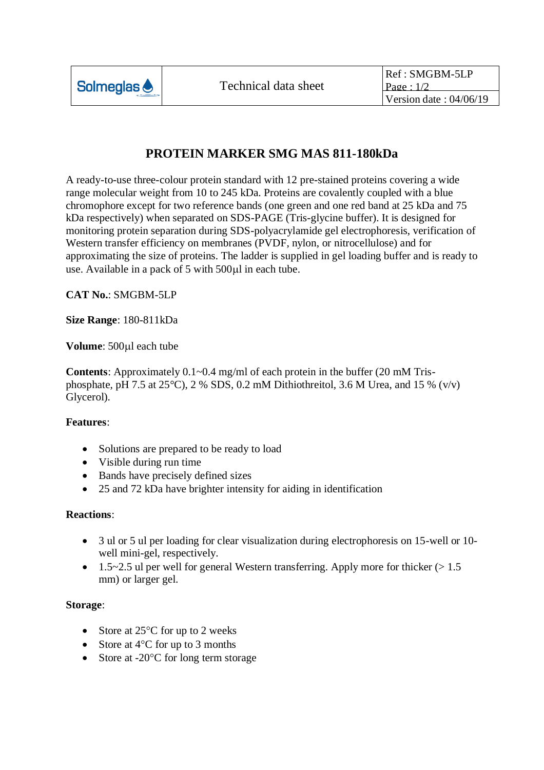

## **PROTEIN MARKER SMG MAS 811-180kDa**

A ready-to-use three-colour protein standard with 12 pre-stained proteins covering a wide range molecular weight from 10 to 245 kDa. Proteins are covalently coupled with a blue chromophore except for two reference bands (one green and one red band at 25 kDa and 75 kDa respectively) when separated on SDS-PAGE (Tris-glycine buffer). It is designed for monitoring protein separation during SDS-polyacrylamide gel electrophoresis, verification of Western transfer efficiency on membranes (PVDF, nylon, or nitrocellulose) and for approximating the size of proteins. The ladder is supplied in gel loading buffer and is ready to use. Available in a pack of 5 with 500 $\mu$ l in each tube.

**CAT No.**: SMGBM-5LP

**Size Range**: 180-811kDa

**Volume**: 500<sub>ul</sub> each tube

**Contents**: Approximately 0.1~0.4 mg/ml of each protein in the buffer (20 mM Trisphosphate, pH 7.5 at 25 $^{\circ}$ C), 2 % SDS, 0.2 mM Dithiothreitol, 3.6 M Urea, and 15 % (v/v) Glycerol).

## **Features**:

- Solutions are prepared to be ready to load
- Visible during run time
- Bands have precisely defined sizes
- 25 and 72 kDa have brighter intensity for aiding in identification

## **Reactions**:

- 3 ul or 5 ul per loading for clear visualization during electrophoresis on 15-well or 10 well mini-gel, respectively.
- 1.5~2.5 ul per well for general Western transferring. Apply more for thicker  $(>1.5$ mm) or larger gel.

## **Storage**:

- Store at  $25^{\circ}$ C for up to 2 weeks
- Store at  $4^{\circ}$ C for up to 3 months
- Store at  $-20^{\circ}$ C for long term storage